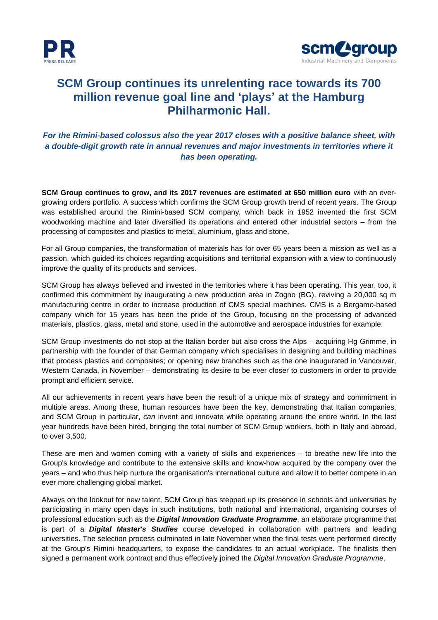



## **SCM Group continues its unrelenting race towards its 700 million revenue goal line and 'plays' at the Hamburg Philharmonic Hall.**

## *For the Rimini-based colossus also the year 2017 closes with a positive balance sheet, with a double-digit growth rate in annual revenues and major investments in territories where it has been operating.*

**SCM Group continues to grow, and its 2017 revenues are estimated at 650 million euro** with an evergrowing orders portfolio. A success which confirms the SCM Group growth trend of recent years. The Group was established around the Rimini-based SCM company, which back in 1952 invented the first SCM woodworking machine and later diversified its operations and entered other industrial sectors – from the processing of composites and plastics to metal, aluminium, glass and stone.

For all Group companies, the transformation of materials has for over 65 years been a mission as well as a passion, which guided its choices regarding acquisitions and territorial expansion with a view to continuously improve the quality of its products and services.

SCM Group has always believed and invested in the territories where it has been operating. This year, too, it confirmed this commitment by inaugurating a new production area in Zogno (BG), reviving a 20,000 sq m manufacturing centre in order to increase production of CMS special machines. CMS is a Bergamo-based company which for 15 years has been the pride of the Group, focusing on the processing of advanced materials, plastics, glass, metal and stone, used in the automotive and aerospace industries for example.

SCM Group investments do not stop at the Italian border but also cross the Alps – acquiring Hg Grimme, in partnership with the founder of that German company which specialises in designing and building machines that process plastics and composites; or opening new branches such as the one inaugurated in Vancouver, Western Canada, in November – demonstrating its desire to be ever closer to customers in order to provide prompt and efficient service.

All our achievements in recent years have been the result of a unique mix of strategy and commitment in multiple areas. Among these, human resources have been the key, demonstrating that Italian companies, and SCM Group in particular, *can* invent and innovate while operating around the entire world. In the last year hundreds have been hired, bringing the total number of SCM Group workers, both in Italy and abroad, to over 3,500.

These are men and women coming with a variety of skills and experiences – to breathe new life into the Group's knowledge and contribute to the extensive skills and know-how acquired by the company over the years – and who thus help nurture the organisation's international culture and allow it to better compete in an ever more challenging global market.

Always on the lookout for new talent, SCM Group has stepped up its presence in schools and universities by participating in many open days in such institutions, both national and international, organising courses of professional education such as the *Digital Innovation Graduate Programme*, an elaborate programme that is part of a *Digital Master's Studies* course developed in collaboration with partners and leading universities. The selection process culminated in late November when the final tests were performed directly at the Group's Rimini headquarters, to expose the candidates to an actual workplace. The finalists then signed a permanent work contract and thus effectively joined the *Digital Innovation Graduate Programme*.